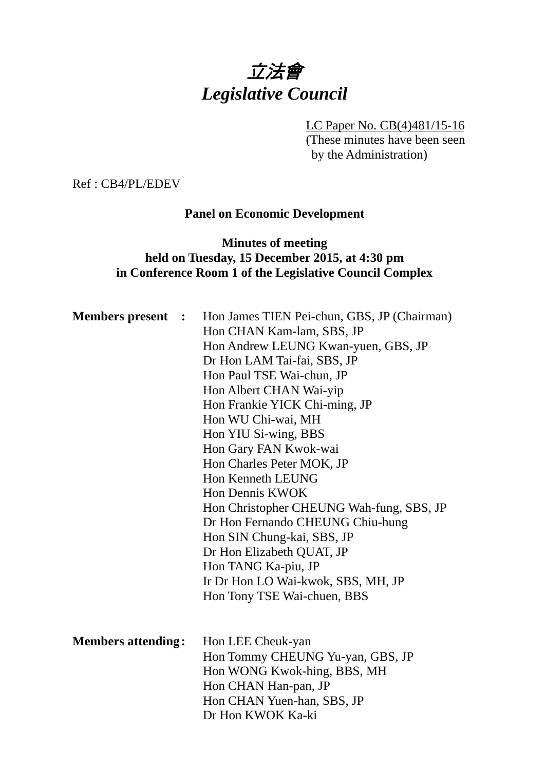# 立法會 *Legislative Council*

LC Paper No. CB(4)481/15-16

(These minutes have been seen by the Administration)

Ref : CB4/PL/EDEV

## **Panel on Economic Development**

# **Minutes of meeting held on Tuesday, 15 December 2015, at 4:30 pm in Conference Room 1 of the Legislative Council Complex**

| <b>Members</b> present    | $\mathbb{R}^2$ | Hon James TIEN Pei-chun, GBS, JP (Chairman)<br>Hon CHAN Kam-lam, SBS, JP<br>Hon Andrew LEUNG Kwan-yuen, GBS, JP<br>Dr Hon LAM Tai-fai, SBS, JP<br>Hon Paul TSE Wai-chun, JP<br>Hon Albert CHAN Wai-yip<br>Hon Frankie YICK Chi-ming, JP<br>Hon WU Chi-wai, MH<br>Hon YIU Si-wing, BBS<br>Hon Gary FAN Kwok-wai<br>Hon Charles Peter MOK, JP<br><b>Hon Kenneth LEUNG</b><br><b>Hon Dennis KWOK</b><br>Hon Christopher CHEUNG Wah-fung, SBS, JP<br>Dr Hon Fernando CHEUNG Chiu-hung<br>Hon SIN Chung-kai, SBS, JP<br>Dr Hon Elizabeth QUAT, JP<br>Hon TANG Ka-piu, JP<br>Ir Dr Hon LO Wai-kwok, SBS, MH, JP<br>Hon Tony TSE Wai-chuen, BBS |
|---------------------------|----------------|------------------------------------------------------------------------------------------------------------------------------------------------------------------------------------------------------------------------------------------------------------------------------------------------------------------------------------------------------------------------------------------------------------------------------------------------------------------------------------------------------------------------------------------------------------------------------------------------------------------------------------------|
| <b>Members attending:</b> |                | Hon LEE Cheuk-yan<br>Hon Tommy CHEUNG Yu-yan, GBS, JP<br>Hon WONG Kwok-hing, BBS, MH<br>Hon CHAN Han-pan, JP<br>Hon CHAN Yuen-han, SBS, JP<br>Dr Hon KWOK Ka-ki                                                                                                                                                                                                                                                                                                                                                                                                                                                                          |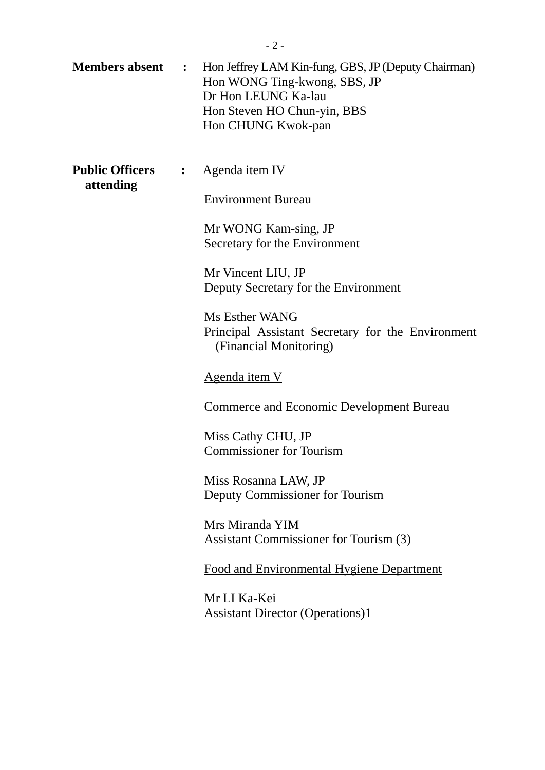| <b>Members absent</b>                    | $\mathbf{L}$ | Hon Jeffrey LAM Kin-fung, GBS, JP (Deputy Chairman)<br>Hon WONG Ting-kwong, SBS, JP<br>Dr Hon LEUNG Ka-lau<br>Hon Steven HO Chun-yin, BBS<br>Hon CHUNG Kwok-pan |
|------------------------------------------|--------------|-----------------------------------------------------------------------------------------------------------------------------------------------------------------|
| <b>Public Officers</b><br>:<br>attending |              | Agenda item IV                                                                                                                                                  |
|                                          |              | <b>Environment Bureau</b>                                                                                                                                       |
|                                          |              | Mr WONG Kam-sing, JP<br>Secretary for the Environment                                                                                                           |
|                                          |              | Mr Vincent LIU, JP                                                                                                                                              |
|                                          |              | Deputy Secretary for the Environment                                                                                                                            |
|                                          |              | Ms Esther WANG<br>Principal Assistant Secretary for the Environment<br>(Financial Monitoring)                                                                   |
|                                          |              | <u>Agenda item V</u>                                                                                                                                            |
|                                          |              | <b>Commerce and Economic Development Bureau</b>                                                                                                                 |
|                                          |              | Miss Cathy CHU, JP<br><b>Commissioner for Tourism</b>                                                                                                           |
|                                          |              | Miss Rosanna LAW, JP<br>Deputy Commissioner for Tourism                                                                                                         |
|                                          |              | Mrs Miranda YIM<br>Assistant Commissioner for Tourism (3)                                                                                                       |
|                                          |              | Food and Environmental Hygiene Department                                                                                                                       |
|                                          |              | Mr LI Ka-Kei<br><b>Assistant Director (Operations)1</b>                                                                                                         |
|                                          |              |                                                                                                                                                                 |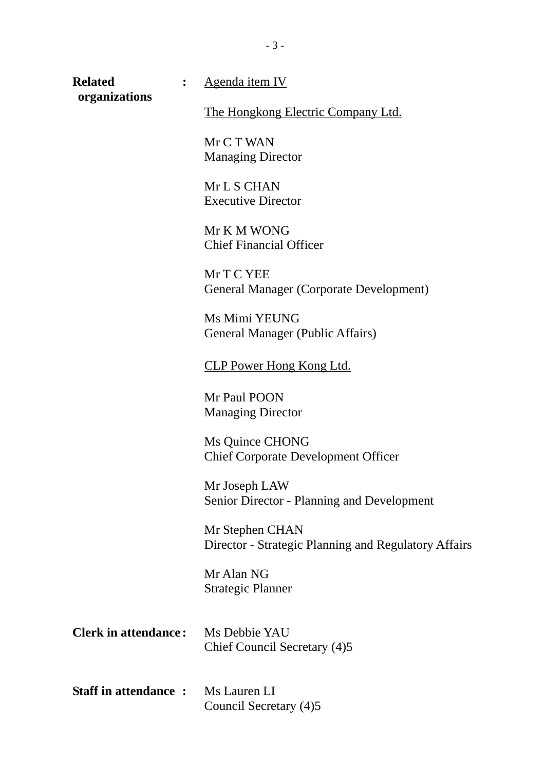| <b>Related</b>              | Agenda item IV                                                          |
|-----------------------------|-------------------------------------------------------------------------|
| organizations               | <u>The Hongkong Electric Company Ltd.</u>                               |
|                             | Mr C T WAN<br><b>Managing Director</b>                                  |
|                             | Mr L S CHAN<br><b>Executive Director</b>                                |
|                             | Mr K M WONG<br><b>Chief Financial Officer</b>                           |
|                             | Mr T C YEE<br><b>General Manager (Corporate Development)</b>            |
|                             | Ms Mimi YEUNG<br>General Manager (Public Affairs)                       |
|                             | <b>CLP Power Hong Kong Ltd.</b>                                         |
|                             | Mr Paul POON<br><b>Managing Director</b>                                |
|                             | Ms Quince CHONG<br><b>Chief Corporate Development Officer</b>           |
|                             | Mr Joseph LAW<br><b>Senior Director - Planning and Development</b>      |
|                             | Mr Stephen CHAN<br>Director - Strategic Planning and Regulatory Affairs |
|                             | Mr Alan NG<br><b>Strategic Planner</b>                                  |
| <b>Clerk in attendance:</b> | Ms Debbie YAU<br>Chief Council Secretary (4)5                           |
| <b>Staff in attendance:</b> | Ms Lauren LI<br>Council Secretary (4)5                                  |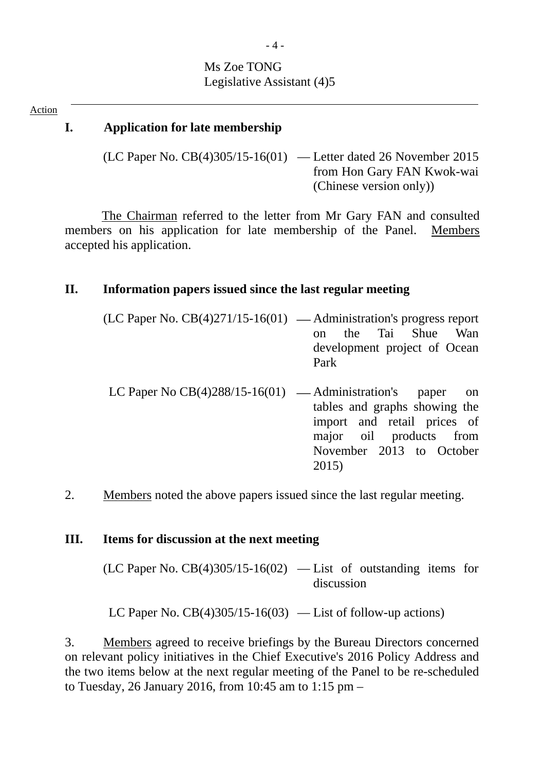# Ms Zoe TONG Legislative Assistant (4)5

#### Action

# **I. Application for late membership**

(LC Paper No. CB(4)305/15-16(01) — Letter dated 26 November 2015 from Hon Gary FAN Kwok-wai (Chinese version only))

The Chairman referred to the letter from Mr Gary FAN and consulted members on his application for late membership of the Panel. Members accepted his application.

#### **II. Information papers issued since the last regular meeting**

| $(LC$ Paper No. $CB(4)271/15-16(01)$ — Administration's progress report |      |  |                              |  |
|-------------------------------------------------------------------------|------|--|------------------------------|--|
|                                                                         |      |  | on the Tai Shue Wan          |  |
|                                                                         |      |  | development project of Ocean |  |
|                                                                         | Park |  |                              |  |
|                                                                         |      |  |                              |  |

- LC Paper No  $CB(4)288/15-16(01)$  Administration's paper on tables and graphs showing the import and retail prices of major oil products from November 2013 to October 2015)
- 2. Members noted the above papers issued since the last regular meeting.

#### **III. Items for discussion at the next meeting**

 $(LC$  Paper No.  $CB(4)305/15-16(02)$  — List of outstanding items for discussion

LC Paper No.  $CB(4)305/15-16(03)$  — List of follow-up actions)

3. Members agreed to receive briefings by the Bureau Directors concerned on relevant policy initiatives in the Chief Executive's 2016 Policy Address and the two items below at the next regular meeting of the Panel to be re-scheduled to Tuesday, 26 January 2016, from 10:45 am to 1:15 pm –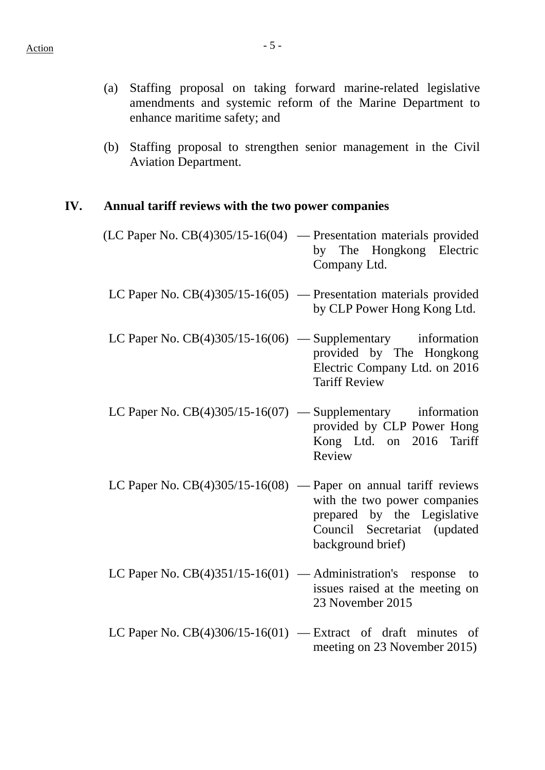- (a) Staffing proposal on taking forward marine-related legislative amendments and systemic reform of the Marine Department to enhance maritime safety; and
- (b) Staffing proposal to strengthen senior management in the Civil Aviation Department.

#### **IV. Annual tariff reviews with the two power companies**

- (LC Paper No. CB(4)305/15-16(04) Presentation materials provided by The Hongkong Electric Company Ltd.
- LC Paper No. CB(4)305/15-16(05) Presentation materials provided by CLP Power Hong Kong Ltd.
- LC Paper No.  $CB(4)305/15-16(06)$  Supplementary information provided by The Hongkong Electric Company Ltd. on 2016 Tariff Review
- LC Paper No.  $CB(4)305/15-16(07)$  Supplementary information provided by CLP Power Hong Kong Ltd. on 2016 Tariff Review
- LC Paper No.  $CB(4)305/15-16(08)$  Paper on annual tariff reviews with the two power companies prepared by the Legislative Council Secretariat (updated background brief)
- LC Paper No.  $CB(4)351/15-16(01)$  Administration's response to issues raised at the meeting on 23 November 2015
- LC Paper No.  $CB(4)306/15-16(01)$  Extract of draft minutes of meeting on 23 November 2015)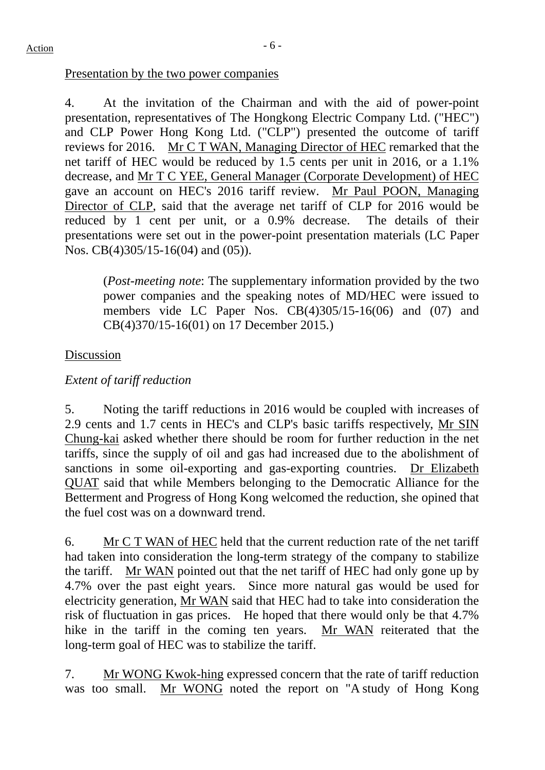#### Presentation by the two power companies

4. At the invitation of the Chairman and with the aid of power-point presentation, representatives of The Hongkong Electric Company Ltd. ("HEC") and CLP Power Hong Kong Ltd. ("CLP") presented the outcome of tariff reviews for 2016. Mr C T WAN, Managing Director of HEC remarked that the net tariff of HEC would be reduced by 1.5 cents per unit in 2016, or a 1.1% decrease, and Mr T C YEE, General Manager (Corporate Development) of HEC gave an account on HEC's 2016 tariff review. Mr Paul POON, Managing Director of CLP, said that the average net tariff of CLP for 2016 would be reduced by 1 cent per unit, or a 0.9% decrease. The details of their presentations were set out in the power-point presentation materials (LC Paper Nos. CB(4)305/15-16(04) and (05)).

(*Post-meeting note*: The supplementary information provided by the two power companies and the speaking notes of MD/HEC were issued to members vide LC Paper Nos. CB(4)305/15-16(06) and (07) and CB(4)370/15-16(01) on 17 December 2015.)

# Discussion

# *Extent of tariff reduction*

5. Noting the tariff reductions in 2016 would be coupled with increases of 2.9 cents and 1.7 cents in HEC's and CLP's basic tariffs respectively, Mr SIN Chung-kai asked whether there should be room for further reduction in the net tariffs, since the supply of oil and gas had increased due to the abolishment of sanctions in some oil-exporting and gas-exporting countries. Dr Elizabeth QUAT said that while Members belonging to the Democratic Alliance for the Betterment and Progress of Hong Kong welcomed the reduction, she opined that the fuel cost was on a downward trend.

6. Mr C T WAN of HEC held that the current reduction rate of the net tariff had taken into consideration the long-term strategy of the company to stabilize the tariff. Mr WAN pointed out that the net tariff of HEC had only gone up by 4.7% over the past eight years. Since more natural gas would be used for electricity generation, Mr WAN said that HEC had to take into consideration the risk of fluctuation in gas prices. He hoped that there would only be that 4.7% hike in the tariff in the coming ten years. Mr WAN reiterated that the long-term goal of HEC was to stabilize the tariff.

7. Mr WONG Kwok-hing expressed concern that the rate of tariff reduction was too small. Mr WONG noted the report on "A study of Hong Kong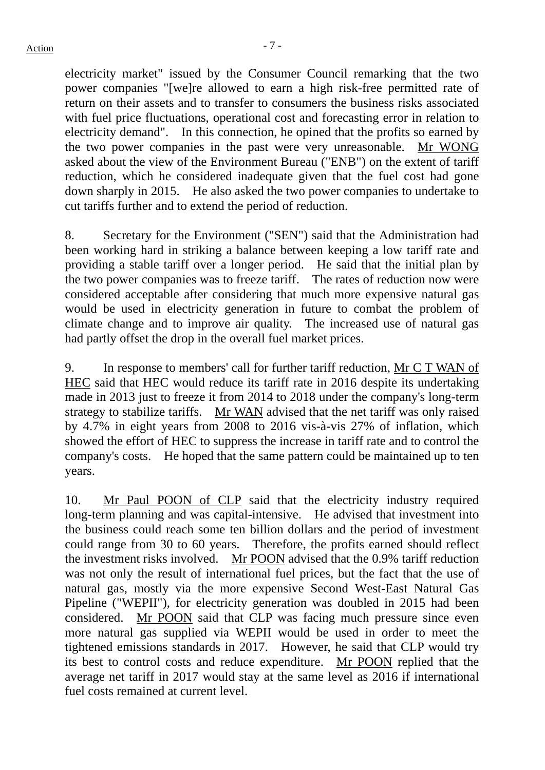electricity market" issued by the Consumer Council remarking that the two power companies "[we]re allowed to earn a high risk-free permitted rate of return on their assets and to transfer to consumers the business risks associated with fuel price fluctuations, operational cost and forecasting error in relation to electricity demand". In this connection, he opined that the profits so earned by the two power companies in the past were very unreasonable. Mr WONG asked about the view of the Environment Bureau ("ENB") on the extent of tariff reduction, which he considered inadequate given that the fuel cost had gone down sharply in 2015. He also asked the two power companies to undertake to cut tariffs further and to extend the period of reduction.

8. Secretary for the Environment ("SEN") said that the Administration had been working hard in striking a balance between keeping a low tariff rate and providing a stable tariff over a longer period. He said that the initial plan by the two power companies was to freeze tariff. The rates of reduction now were considered acceptable after considering that much more expensive natural gas would be used in electricity generation in future to combat the problem of climate change and to improve air quality. The increased use of natural gas had partly offset the drop in the overall fuel market prices.

9. In response to members' call for further tariff reduction, Mr C T WAN of HEC said that HEC would reduce its tariff rate in 2016 despite its undertaking made in 2013 just to freeze it from 2014 to 2018 under the company's long-term strategy to stabilize tariffs. Mr WAN advised that the net tariff was only raised by 4.7% in eight years from 2008 to 2016 vis-à-vis 27% of inflation, which showed the effort of HEC to suppress the increase in tariff rate and to control the company's costs. He hoped that the same pattern could be maintained up to ten years.

10. Mr Paul POON of CLP said that the electricity industry required long-term planning and was capital-intensive. He advised that investment into the business could reach some ten billion dollars and the period of investment could range from 30 to 60 years. Therefore, the profits earned should reflect the investment risks involved. Mr POON advised that the 0.9% tariff reduction was not only the result of international fuel prices, but the fact that the use of natural gas, mostly via the more expensive Second West-East Natural Gas Pipeline ("WEPII"), for electricity generation was doubled in 2015 had been considered. Mr POON said that CLP was facing much pressure since even more natural gas supplied via WEPII would be used in order to meet the tightened emissions standards in 2017. However, he said that CLP would try its best to control costs and reduce expenditure. Mr POON replied that the average net tariff in 2017 would stay at the same level as 2016 if international fuel costs remained at current level.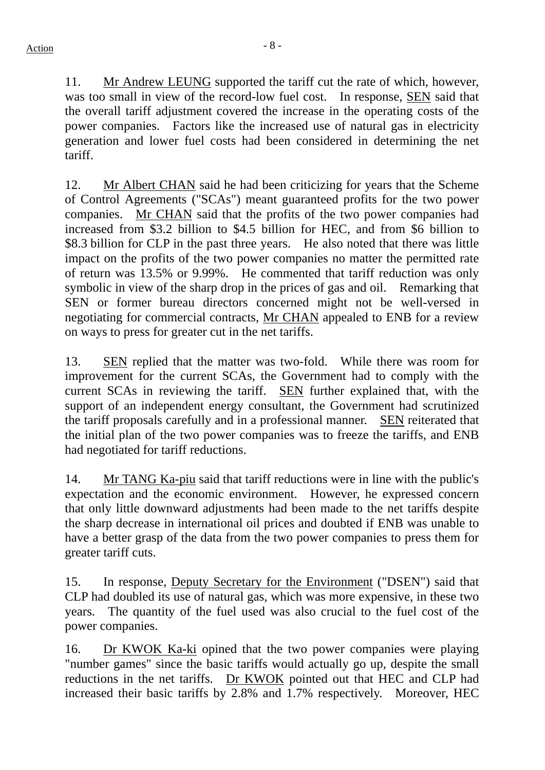11. Mr Andrew LEUNG supported the tariff cut the rate of which, however, was too small in view of the record-low fuel cost. In response, SEN said that the overall tariff adjustment covered the increase in the operating costs of the power companies. Factors like the increased use of natural gas in electricity generation and lower fuel costs had been considered in determining the net tariff.

12. Mr Albert CHAN said he had been criticizing for years that the Scheme of Control Agreements ("SCAs") meant guaranteed profits for the two power companies. Mr CHAN said that the profits of the two power companies had increased from \$3.2 billion to \$4.5 billion for HEC, and from \$6 billion to \$8.3 billion for CLP in the past three years. He also noted that there was little impact on the profits of the two power companies no matter the permitted rate of return was 13.5% or 9.99%. He commented that tariff reduction was only symbolic in view of the sharp drop in the prices of gas and oil. Remarking that SEN or former bureau directors concerned might not be well-versed in negotiating for commercial contracts, Mr CHAN appealed to ENB for a review on ways to press for greater cut in the net tariffs.

13. SEN replied that the matter was two-fold. While there was room for improvement for the current SCAs, the Government had to comply with the current SCAs in reviewing the tariff. SEN further explained that, with the support of an independent energy consultant, the Government had scrutinized the tariff proposals carefully and in a professional manner. SEN reiterated that the initial plan of the two power companies was to freeze the tariffs, and ENB had negotiated for tariff reductions.

14. Mr TANG Ka-piu said that tariff reductions were in line with the public's expectation and the economic environment. However, he expressed concern that only little downward adjustments had been made to the net tariffs despite the sharp decrease in international oil prices and doubted if ENB was unable to have a better grasp of the data from the two power companies to press them for greater tariff cuts.

15. In response, Deputy Secretary for the Environment ("DSEN") said that CLP had doubled its use of natural gas, which was more expensive, in these two years. The quantity of the fuel used was also crucial to the fuel cost of the power companies.

16. Dr KWOK Ka-ki opined that the two power companies were playing "number games" since the basic tariffs would actually go up, despite the small reductions in the net tariffs. Dr KWOK pointed out that HEC and CLP had increased their basic tariffs by  $2.8\%$  and 1.7% respectively. Moreover, HEC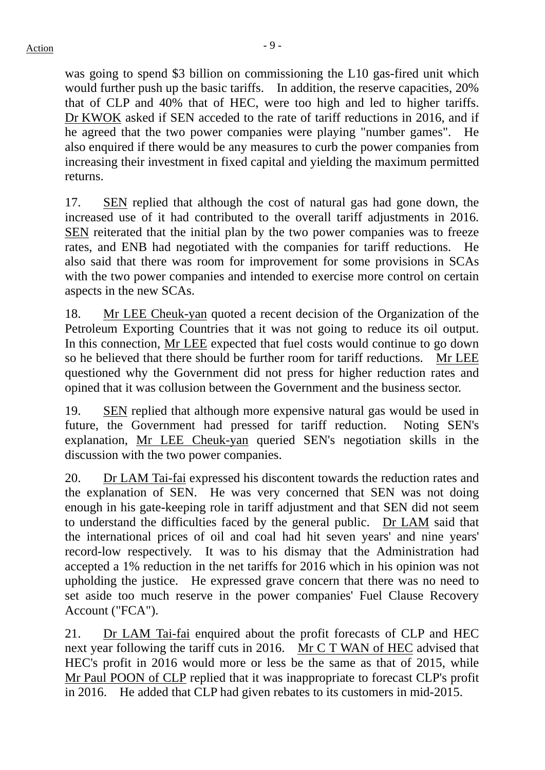was going to spend \$3 billion on commissioning the L10 gas-fired unit which would further push up the basic tariffs. In addition, the reserve capacities, 20% that of CLP and 40% that of HEC, were too high and led to higher tariffs. Dr KWOK asked if SEN acceded to the rate of tariff reductions in 2016, and if he agreed that the two power companies were playing "number games". He also enquired if there would be any measures to curb the power companies from increasing their investment in fixed capital and yielding the maximum permitted returns.

17. SEN replied that although the cost of natural gas had gone down, the increased use of it had contributed to the overall tariff adjustments in 2016. SEN reiterated that the initial plan by the two power companies was to freeze rates, and ENB had negotiated with the companies for tariff reductions. He also said that there was room for improvement for some provisions in SCAs with the two power companies and intended to exercise more control on certain aspects in the new SCAs.

18. Mr LEE Cheuk-yan quoted a recent decision of the Organization of the Petroleum Exporting Countries that it was not going to reduce its oil output. In this connection, Mr LEE expected that fuel costs would continue to go down so he believed that there should be further room for tariff reductions. Mr LEE questioned why the Government did not press for higher reduction rates and opined that it was collusion between the Government and the business sector.

19. SEN replied that although more expensive natural gas would be used in future, the Government had pressed for tariff reduction. Noting SEN's explanation, Mr LEE Cheuk-yan queried SEN's negotiation skills in the discussion with the two power companies.

20. Dr LAM Tai-fai expressed his discontent towards the reduction rates and the explanation of SEN. He was very concerned that SEN was not doing enough in his gate-keeping role in tariff adjustment and that SEN did not seem to understand the difficulties faced by the general public. Dr LAM said that the international prices of oil and coal had hit seven years' and nine years' record-low respectively. It was to his dismay that the Administration had accepted a 1% reduction in the net tariffs for 2016 which in his opinion was not upholding the justice. He expressed grave concern that there was no need to set aside too much reserve in the power companies' Fuel Clause Recovery Account ("FCA").

21. Dr LAM Tai-fai enquired about the profit forecasts of CLP and HEC next year following the tariff cuts in 2016. Mr C T WAN of HEC advised that HEC's profit in 2016 would more or less be the same as that of 2015, while Mr Paul POON of CLP replied that it was inappropriate to forecast CLP's profit in 2016. He added that CLP had given rebates to its customers in mid-2015.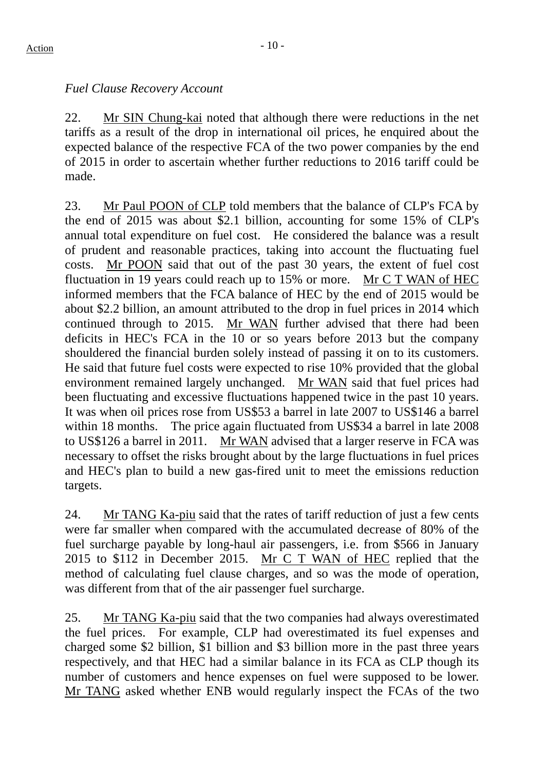# *Fuel Clause Recovery Account*

22. Mr SIN Chung-kai noted that although there were reductions in the net tariffs as a result of the drop in international oil prices, he enquired about the expected balance of the respective FCA of the two power companies by the end of 2015 in order to ascertain whether further reductions to 2016 tariff could be made.

23. Mr Paul POON of CLP told members that the balance of CLP's FCA by the end of 2015 was about \$2.1 billion, accounting for some 15% of CLP's annual total expenditure on fuel cost. He considered the balance was a result of prudent and reasonable practices, taking into account the fluctuating fuel costs. Mr POON said that out of the past 30 years, the extent of fuel cost fluctuation in 19 years could reach up to 15% or more. Mr C T WAN of HEC informed members that the FCA balance of HEC by the end of 2015 would be about \$2.2 billion, an amount attributed to the drop in fuel prices in 2014 which continued through to 2015. Mr WAN further advised that there had been deficits in HEC's FCA in the 10 or so years before 2013 but the company shouldered the financial burden solely instead of passing it on to its customers. He said that future fuel costs were expected to rise 10% provided that the global environment remained largely unchanged. Mr WAN said that fuel prices had been fluctuating and excessive fluctuations happened twice in the past 10 years. It was when oil prices rose from US\$53 a barrel in late 2007 to US\$146 a barrel within 18 months. The price again fluctuated from US\$34 a barrel in late 2008 to US\$126 a barrel in 2011. Mr WAN advised that a larger reserve in FCA was necessary to offset the risks brought about by the large fluctuations in fuel prices and HEC's plan to build a new gas-fired unit to meet the emissions reduction targets.

24. Mr TANG Ka-piu said that the rates of tariff reduction of just a few cents were far smaller when compared with the accumulated decrease of 80% of the fuel surcharge payable by long-haul air passengers, i.e. from \$566 in January 2015 to \$112 in December 2015. Mr C T WAN of HEC replied that the method of calculating fuel clause charges, and so was the mode of operation, was different from that of the air passenger fuel surcharge.

25. Mr TANG Ka-piu said that the two companies had always overestimated the fuel prices. For example, CLP had overestimated its fuel expenses and charged some \$2 billion, \$1 billion and \$3 billion more in the past three years respectively, and that HEC had a similar balance in its FCA as CLP though its number of customers and hence expenses on fuel were supposed to be lower. Mr TANG asked whether ENB would regularly inspect the FCAs of the two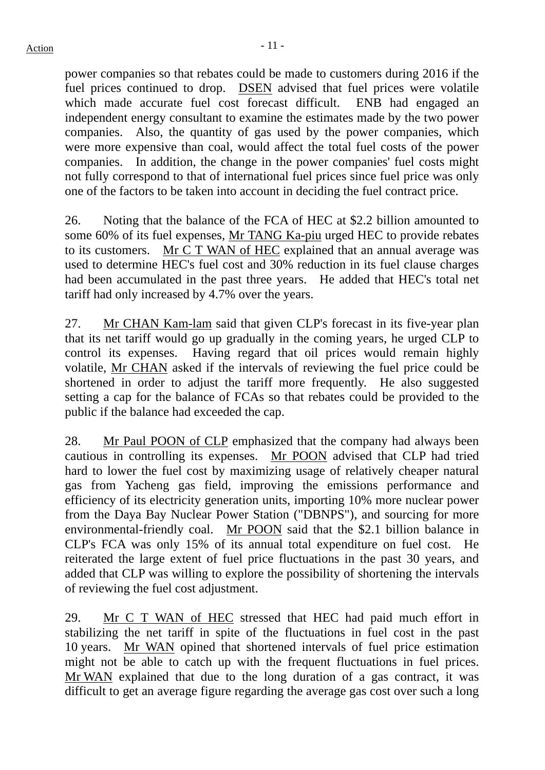power companies so that rebates could be made to customers during 2016 if the fuel prices continued to drop. DSEN advised that fuel prices were volatile which made accurate fuel cost forecast difficult. ENB had engaged an independent energy consultant to examine the estimates made by the two power companies. Also, the quantity of gas used by the power companies, which were more expensive than coal, would affect the total fuel costs of the power companies. In addition, the change in the power companies' fuel costs might not fully correspond to that of international fuel prices since fuel price was only one of the factors to be taken into account in deciding the fuel contract price.

26. Noting that the balance of the FCA of HEC at \$2.2 billion amounted to some 60% of its fuel expenses, Mr TANG Ka-piu urged HEC to provide rebates to its customers. Mr C T WAN of HEC explained that an annual average was used to determine HEC's fuel cost and 30% reduction in its fuel clause charges had been accumulated in the past three years. He added that HEC's total net tariff had only increased by 4.7% over the years.

27. Mr CHAN Kam-lam said that given CLP's forecast in its five-year plan that its net tariff would go up gradually in the coming years, he urged CLP to control its expenses. Having regard that oil prices would remain highly volatile, Mr CHAN asked if the intervals of reviewing the fuel price could be shortened in order to adjust the tariff more frequently. He also suggested setting a cap for the balance of FCAs so that rebates could be provided to the public if the balance had exceeded the cap.

28. Mr Paul POON of CLP emphasized that the company had always been cautious in controlling its expenses. Mr POON advised that CLP had tried hard to lower the fuel cost by maximizing usage of relatively cheaper natural gas from Yacheng gas field, improving the emissions performance and efficiency of its electricity generation units, importing 10% more nuclear power from the Daya Bay Nuclear Power Station ("DBNPS"), and sourcing for more environmental-friendly coal. Mr POON said that the \$2.1 billion balance in CLP's FCA was only 15% of its annual total expenditure on fuel cost. He reiterated the large extent of fuel price fluctuations in the past 30 years, and added that CLP was willing to explore the possibility of shortening the intervals of reviewing the fuel cost adjustment.

29. Mr C T WAN of HEC stressed that HEC had paid much effort in stabilizing the net tariff in spite of the fluctuations in fuel cost in the past 10 years. Mr WAN opined that shortened intervals of fuel price estimation might not be able to catch up with the frequent fluctuations in fuel prices. Mr WAN explained that due to the long duration of a gas contract, it was difficult to get an average figure regarding the average gas cost over such a long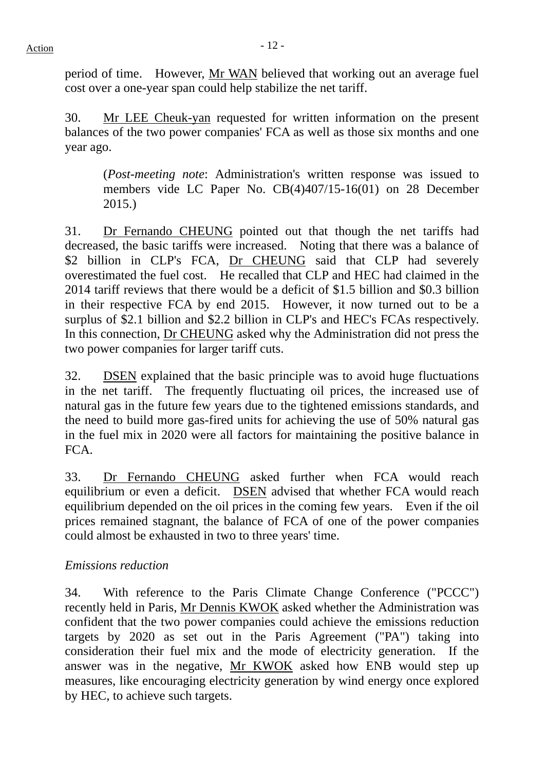period of time. However, Mr WAN believed that working out an average fuel cost over a one-year span could help stabilize the net tariff.

30. Mr LEE Cheuk-yan requested for written information on the present balances of the two power companies' FCA as well as those six months and one year ago.

(*Post-meeting note*: Administration's written response was issued to members vide LC Paper No. CB(4)407/15-16(01) on 28 December 2015.)

31. Dr Fernando CHEUNG pointed out that though the net tariffs had decreased, the basic tariffs were increased. Noting that there was a balance of \$2 billion in CLP's FCA, Dr CHEUNG said that CLP had severely overestimated the fuel cost. He recalled that CLP and HEC had claimed in the 2014 tariff reviews that there would be a deficit of \$1.5 billion and \$0.3 billion in their respective FCA by end 2015. However, it now turned out to be a surplus of \$2.1 billion and \$2.2 billion in CLP's and HEC's FCAs respectively. In this connection, Dr CHEUNG asked why the Administration did not press the two power companies for larger tariff cuts.

32. DSEN explained that the basic principle was to avoid huge fluctuations in the net tariff. The frequently fluctuating oil prices, the increased use of natural gas in the future few years due to the tightened emissions standards, and the need to build more gas-fired units for achieving the use of 50% natural gas in the fuel mix in 2020 were all factors for maintaining the positive balance in FCA.

33. Dr Fernando CHEUNG asked further when FCA would reach equilibrium or even a deficit. DSEN advised that whether FCA would reach equilibrium depended on the oil prices in the coming few years. Even if the oil prices remained stagnant, the balance of FCA of one of the power companies could almost be exhausted in two to three years' time.

# *Emissions reduction*

34. With reference to the Paris Climate Change Conference ("PCCC") recently held in Paris, Mr Dennis KWOK asked whether the Administration was confident that the two power companies could achieve the emissions reduction targets by 2020 as set out in the Paris Agreement ("PA") taking into consideration their fuel mix and the mode of electricity generation. If the answer was in the negative, Mr KWOK asked how ENB would step up measures, like encouraging electricity generation by wind energy once explored by HEC, to achieve such targets.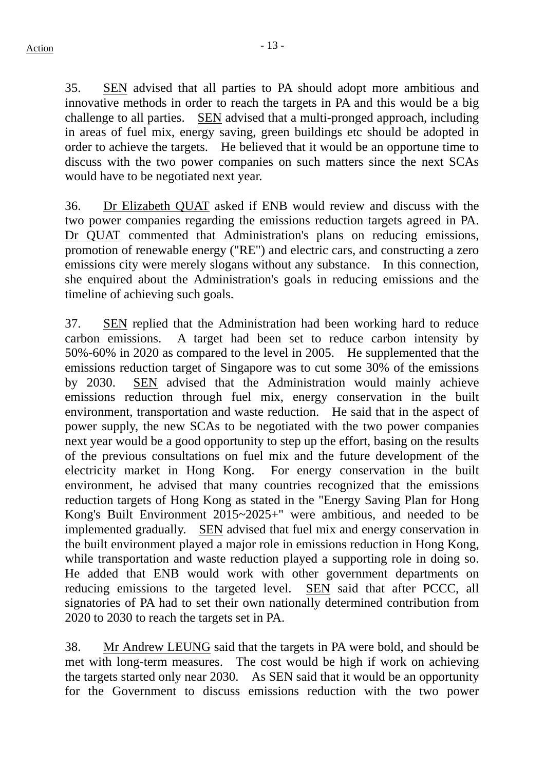35. SEN advised that all parties to PA should adopt more ambitious and innovative methods in order to reach the targets in PA and this would be a big challenge to all parties. SEN advised that a multi-pronged approach, including in areas of fuel mix, energy saving, green buildings etc should be adopted in order to achieve the targets. He believed that it would be an opportune time to discuss with the two power companies on such matters since the next SCAs would have to be negotiated next year.

36. Dr Elizabeth QUAT asked if ENB would review and discuss with the two power companies regarding the emissions reduction targets agreed in PA. Dr QUAT commented that Administration's plans on reducing emissions, promotion of renewable energy ("RE") and electric cars, and constructing a zero emissions city were merely slogans without any substance. In this connection, she enquired about the Administration's goals in reducing emissions and the timeline of achieving such goals.

37. SEN replied that the Administration had been working hard to reduce carbon emissions. A target had been set to reduce carbon intensity by 50%-60% in 2020 as compared to the level in 2005. He supplemented that the emissions reduction target of Singapore was to cut some 30% of the emissions by 2030. SEN advised that the Administration would mainly achieve emissions reduction through fuel mix, energy conservation in the built environment, transportation and waste reduction. He said that in the aspect of power supply, the new SCAs to be negotiated with the two power companies next year would be a good opportunity to step up the effort, basing on the results of the previous consultations on fuel mix and the future development of the electricity market in Hong Kong. For energy conservation in the built environment, he advised that many countries recognized that the emissions reduction targets of Hong Kong as stated in the "Energy Saving Plan for Hong Kong's Built Environment 2015~2025+" were ambitious, and needed to be implemented gradually. SEN advised that fuel mix and energy conservation in the built environment played a major role in emissions reduction in Hong Kong, while transportation and waste reduction played a supporting role in doing so. He added that ENB would work with other government departments on reducing emissions to the targeted level. SEN said that after PCCC, all signatories of PA had to set their own nationally determined contribution from 2020 to 2030 to reach the targets set in PA.

38. Mr Andrew LEUNG said that the targets in PA were bold, and should be met with long-term measures. The cost would be high if work on achieving the targets started only near 2030. As SEN said that it would be an opportunity for the Government to discuss emissions reduction with the two power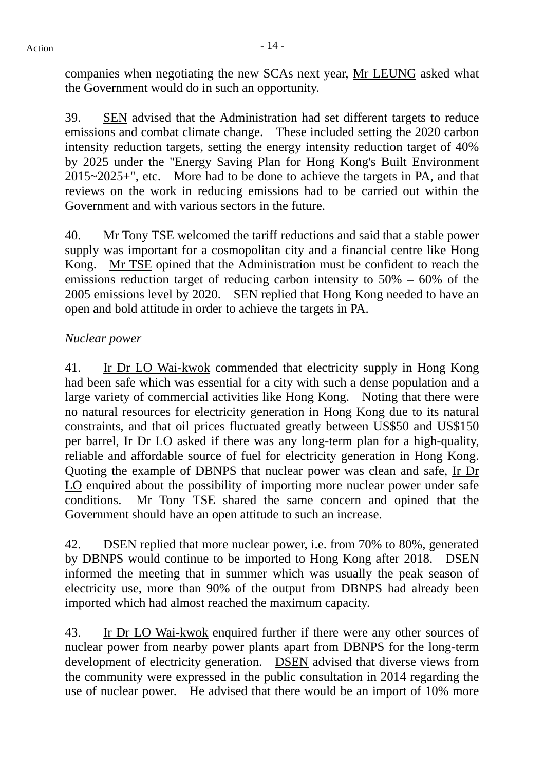companies when negotiating the new SCAs next year, Mr LEUNG asked what the Government would do in such an opportunity.

39. SEN advised that the Administration had set different targets to reduce emissions and combat climate change. These included setting the 2020 carbon intensity reduction targets, setting the energy intensity reduction target of 40% by 2025 under the "Energy Saving Plan for Hong Kong's Built Environment 2015~2025+", etc. More had to be done to achieve the targets in PA, and that reviews on the work in reducing emissions had to be carried out within the Government and with various sectors in the future.

40. Mr Tony TSE welcomed the tariff reductions and said that a stable power supply was important for a cosmopolitan city and a financial centre like Hong Kong. Mr TSE opined that the Administration must be confident to reach the emissions reduction target of reducing carbon intensity to 50% – 60% of the 2005 emissions level by 2020. SEN replied that Hong Kong needed to have an open and bold attitude in order to achieve the targets in PA.

# *Nuclear power*

41. Ir Dr LO Wai-kwok commended that electricity supply in Hong Kong had been safe which was essential for a city with such a dense population and a large variety of commercial activities like Hong Kong. Noting that there were no natural resources for electricity generation in Hong Kong due to its natural constraints, and that oil prices fluctuated greatly between US\$50 and US\$150 per barrel, Ir Dr LO asked if there was any long-term plan for a high-quality, reliable and affordable source of fuel for electricity generation in Hong Kong. Quoting the example of DBNPS that nuclear power was clean and safe, Ir Dr LO enquired about the possibility of importing more nuclear power under safe conditions. Mr Tony TSE shared the same concern and opined that the Government should have an open attitude to such an increase.

42. DSEN replied that more nuclear power, i.e. from 70% to 80%, generated by DBNPS would continue to be imported to Hong Kong after 2018. DSEN informed the meeting that in summer which was usually the peak season of electricity use, more than 90% of the output from DBNPS had already been imported which had almost reached the maximum capacity.

43. Ir Dr LO Wai-kwok enquired further if there were any other sources of nuclear power from nearby power plants apart from DBNPS for the long-term development of electricity generation. DSEN advised that diverse views from the community were expressed in the public consultation in 2014 regarding the use of nuclear power. He advised that there would be an import of 10% more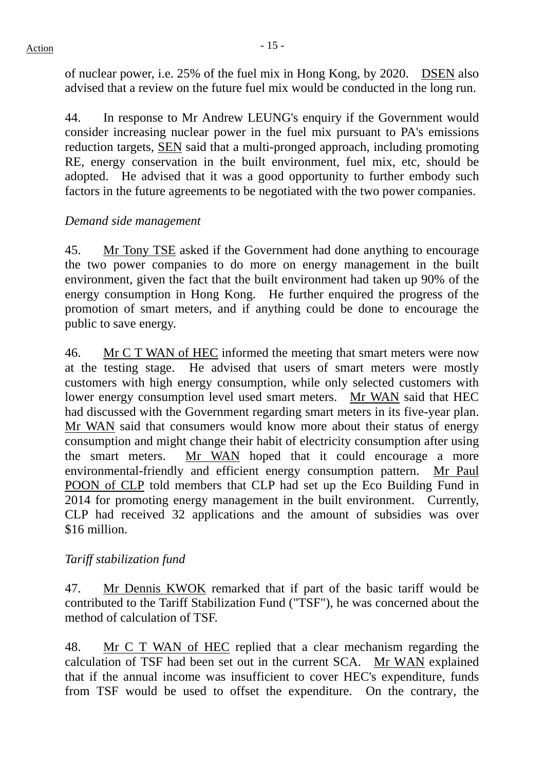of nuclear power, i.e. 25% of the fuel mix in Hong Kong, by 2020. DSEN also advised that a review on the future fuel mix would be conducted in the long run.

44. In response to Mr Andrew LEUNG's enquiry if the Government would consider increasing nuclear power in the fuel mix pursuant to PA's emissions reduction targets, SEN said that a multi-pronged approach, including promoting RE, energy conservation in the built environment, fuel mix, etc, should be adopted. He advised that it was a good opportunity to further embody such factors in the future agreements to be negotiated with the two power companies.

# *Demand side management*

45. Mr Tony TSE asked if the Government had done anything to encourage the two power companies to do more on energy management in the built environment, given the fact that the built environment had taken up 90% of the energy consumption in Hong Kong. He further enquired the progress of the promotion of smart meters, and if anything could be done to encourage the public to save energy.

46. Mr C T WAN of HEC informed the meeting that smart meters were now at the testing stage. He advised that users of smart meters were mostly customers with high energy consumption, while only selected customers with lower energy consumption level used smart meters. Mr WAN said that HEC had discussed with the Government regarding smart meters in its five-year plan. Mr WAN said that consumers would know more about their status of energy consumption and might change their habit of electricity consumption after using the smart meters. Mr WAN hoped that it could encourage a more environmental-friendly and efficient energy consumption pattern. Mr Paul POON of CLP told members that CLP had set up the Eco Building Fund in 2014 for promoting energy management in the built environment. Currently, CLP had received 32 applications and the amount of subsidies was over \$16 million.

# *Tariff stabilization fund*

47. Mr Dennis KWOK remarked that if part of the basic tariff would be contributed to the Tariff Stabilization Fund ("TSF"), he was concerned about the method of calculation of TSF.

48. Mr C T WAN of HEC replied that a clear mechanism regarding the calculation of TSF had been set out in the current SCA. Mr WAN explained that if the annual income was insufficient to cover HEC's expenditure, funds from TSF would be used to offset the expenditure. On the contrary, the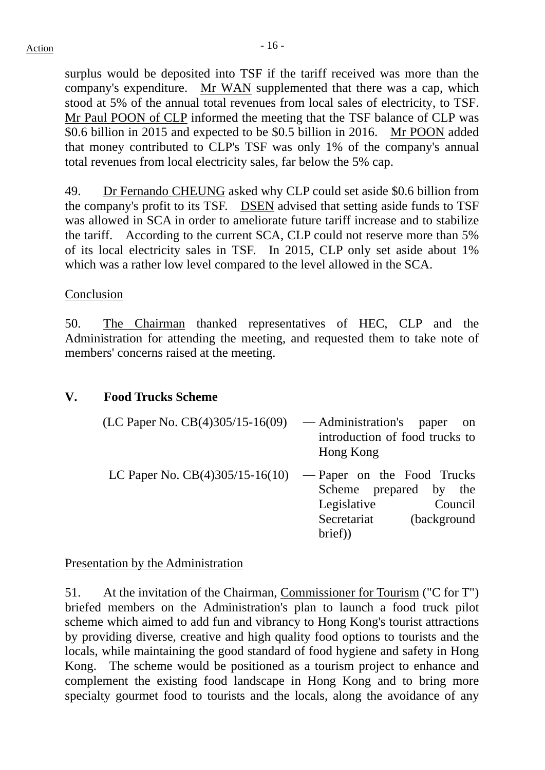surplus would be deposited into TSF if the tariff received was more than the company's expenditure. Mr WAN supplemented that there was a cap, which stood at 5% of the annual total revenues from local sales of electricity, to TSF. Mr Paul POON of CLP informed the meeting that the TSF balance of CLP was \$0.6 billion in 2015 and expected to be \$0.5 billion in 2016. Mr POON added that money contributed to CLP's TSF was only 1% of the company's annual total revenues from local electricity sales, far below the 5% cap.

49. Dr Fernando CHEUNG asked why CLP could set aside \$0.6 billion from the company's profit to its TSF. DSEN advised that setting aside funds to TSF was allowed in SCA in order to ameliorate future tariff increase and to stabilize the tariff. According to the current SCA, CLP could not reserve more than 5% of its local electricity sales in TSF. In 2015, CLP only set aside about 1% which was a rather low level compared to the level allowed in the SCA.

## Conclusion

50. The Chairman thanked representatives of HEC, CLP and the Administration for attending the meeting, and requested them to take note of members' concerns raised at the meeting.

## **V. Food Trucks Scheme**

| (LC Paper No. $CB(4)305/15-16(09)$                           | — Administration's paper<br>- on<br>introduction of food trucks to<br>Hong Kong           |
|--------------------------------------------------------------|-------------------------------------------------------------------------------------------|
| LC Paper No. $CB(4)305/15-16(10)$ — Paper on the Food Trucks | Scheme prepared by the<br>Legislative<br>Council<br>Secretariat<br>(background)<br>brief) |

## Presentation by the Administration

51. At the invitation of the Chairman, Commissioner for Tourism ("C for T") briefed members on the Administration's plan to launch a food truck pilot scheme which aimed to add fun and vibrancy to Hong Kong's tourist attractions by providing diverse, creative and high quality food options to tourists and the locals, while maintaining the good standard of food hygiene and safety in Hong Kong. The scheme would be positioned as a tourism project to enhance and complement the existing food landscape in Hong Kong and to bring more specialty gourmet food to tourists and the locals, along the avoidance of any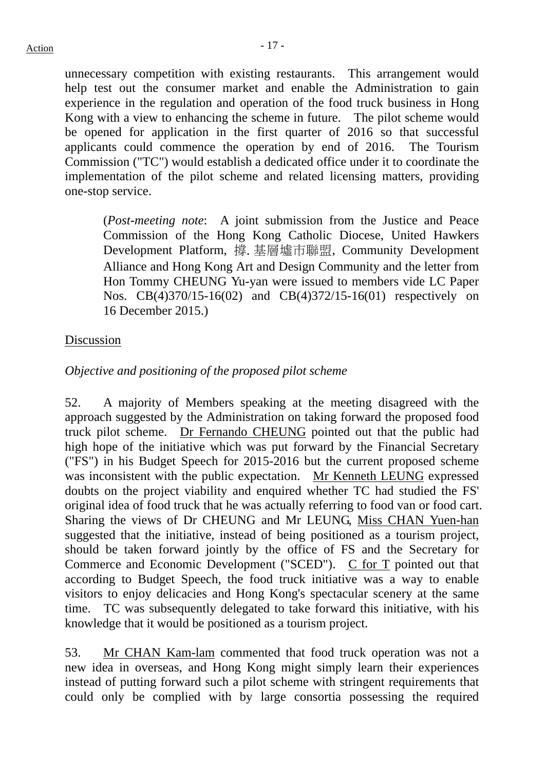unnecessary competition with existing restaurants. This arrangement would help test out the consumer market and enable the Administration to gain experience in the regulation and operation of the food truck business in Hong Kong with a view to enhancing the scheme in future. The pilot scheme would be opened for application in the first quarter of 2016 so that successful applicants could commence the operation by end of 2016. The Tourism Commission ("TC") would establish a dedicated office under it to coordinate the implementation of the pilot scheme and related licensing matters, providing one-stop service.

(*Post-meeting note*: A joint submission from the Justice and Peace Commission of the Hong Kong Catholic Diocese, United Hawkers Development Platform, 撐.基層墟市聯盟, Community Development Alliance and Hong Kong Art and Design Community and the letter from Hon Tommy CHEUNG Yu-yan were issued to members vide LC Paper Nos. CB(4)370/15-16(02) and CB(4)372/15-16(01) respectively on 16 December 2015.)

#### Discussion

# *Objective and positioning of the proposed pilot scheme*

52. A majority of Members speaking at the meeting disagreed with the approach suggested by the Administration on taking forward the proposed food truck pilot scheme. Dr Fernando CHEUNG pointed out that the public had high hope of the initiative which was put forward by the Financial Secretary ("FS") in his Budget Speech for 2015-2016 but the current proposed scheme was inconsistent with the public expectation. Mr Kenneth LEUNG expressed doubts on the project viability and enquired whether TC had studied the FS' original idea of food truck that he was actually referring to food van or food cart. Sharing the views of Dr CHEUNG and Mr LEUNG, Miss CHAN Yuen-han suggested that the initiative, instead of being positioned as a tourism project, should be taken forward jointly by the office of FS and the Secretary for Commerce and Economic Development ("SCED"). C for T pointed out that according to Budget Speech, the food truck initiative was a way to enable visitors to enjoy delicacies and Hong Kong's spectacular scenery at the same time. TC was subsequently delegated to take forward this initiative, with his knowledge that it would be positioned as a tourism project.

53. Mr CHAN Kam-lam commented that food truck operation was not a new idea in overseas, and Hong Kong might simply learn their experiences instead of putting forward such a pilot scheme with stringent requirements that could only be complied with by large consortia possessing the required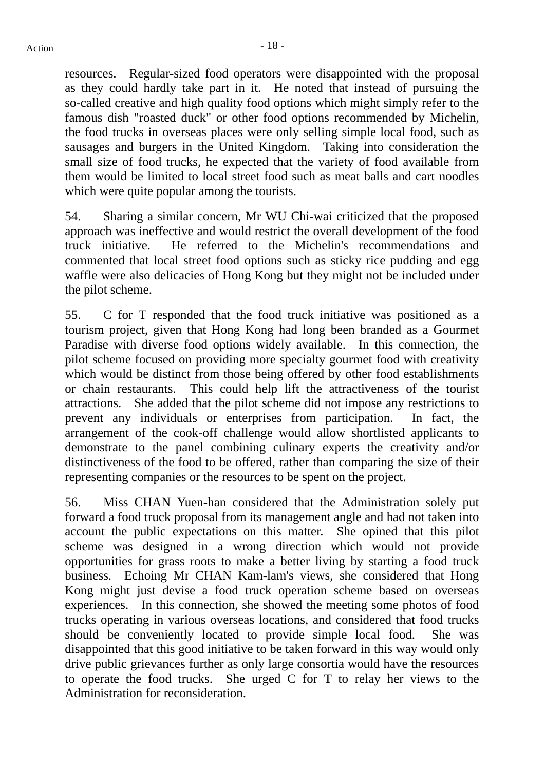resources. Regular-sized food operators were disappointed with the proposal as they could hardly take part in it. He noted that instead of pursuing the so-called creative and high quality food options which might simply refer to the famous dish "roasted duck" or other food options recommended by Michelin, the food trucks in overseas places were only selling simple local food, such as sausages and burgers in the United Kingdom. Taking into consideration the small size of food trucks, he expected that the variety of food available from them would be limited to local street food such as meat balls and cart noodles which were quite popular among the tourists.

54. Sharing a similar concern, Mr WU Chi-wai criticized that the proposed approach was ineffective and would restrict the overall development of the food truck initiative. He referred to the Michelin's recommendations and commented that local street food options such as sticky rice pudding and egg waffle were also delicacies of Hong Kong but they might not be included under the pilot scheme.

55. C for T responded that the food truck initiative was positioned as a tourism project, given that Hong Kong had long been branded as a Gourmet Paradise with diverse food options widely available. In this connection, the pilot scheme focused on providing more specialty gourmet food with creativity which would be distinct from those being offered by other food establishments or chain restaurants. This could help lift the attractiveness of the tourist attractions. She added that the pilot scheme did not impose any restrictions to prevent any individuals or enterprises from participation. In fact, the arrangement of the cook-off challenge would allow shortlisted applicants to demonstrate to the panel combining culinary experts the creativity and/or distinctiveness of the food to be offered, rather than comparing the size of their representing companies or the resources to be spent on the project.

56. Miss CHAN Yuen-han considered that the Administration solely put forward a food truck proposal from its management angle and had not taken into account the public expectations on this matter. She opined that this pilot scheme was designed in a wrong direction which would not provide opportunities for grass roots to make a better living by starting a food truck business. Echoing Mr CHAN Kam-lam's views, she considered that Hong Kong might just devise a food truck operation scheme based on overseas experiences. In this connection, she showed the meeting some photos of food trucks operating in various overseas locations, and considered that food trucks should be conveniently located to provide simple local food. She was disappointed that this good initiative to be taken forward in this way would only drive public grievances further as only large consortia would have the resources to operate the food trucks. She urged C for T to relay her views to the Administration for reconsideration.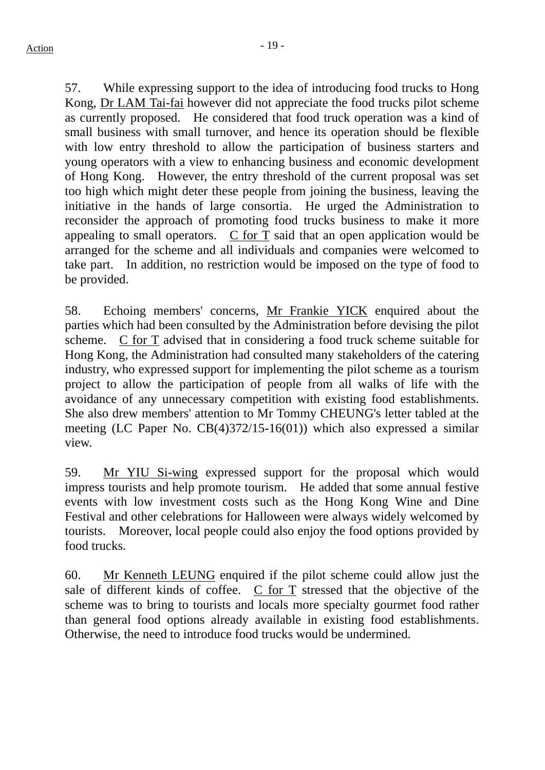57. While expressing support to the idea of introducing food trucks to Hong Kong, Dr LAM Tai-fai however did not appreciate the food trucks pilot scheme as currently proposed. He considered that food truck operation was a kind of small business with small turnover, and hence its operation should be flexible with low entry threshold to allow the participation of business starters and young operators with a view to enhancing business and economic development of Hong Kong. However, the entry threshold of the current proposal was set too high which might deter these people from joining the business, leaving the initiative in the hands of large consortia. He urged the Administration to reconsider the approach of promoting food trucks business to make it more appealing to small operators. C for T said that an open application would be arranged for the scheme and all individuals and companies were welcomed to take part. In addition, no restriction would be imposed on the type of food to be provided.

58. Echoing members' concerns, Mr Frankie YICK enquired about the parties which had been consulted by the Administration before devising the pilot scheme. C for T advised that in considering a food truck scheme suitable for Hong Kong, the Administration had consulted many stakeholders of the catering industry, who expressed support for implementing the pilot scheme as a tourism project to allow the participation of people from all walks of life with the avoidance of any unnecessary competition with existing food establishments. She also drew members' attention to Mr Tommy CHEUNG's letter tabled at the meeting (LC Paper No. CB(4)372/15-16(01)) which also expressed a similar view.

59. Mr YIU Si-wing expressed support for the proposal which would impress tourists and help promote tourism. He added that some annual festive events with low investment costs such as the Hong Kong Wine and Dine Festival and other celebrations for Halloween were always widely welcomed by tourists. Moreover, local people could also enjoy the food options provided by food trucks.

60. Mr Kenneth LEUNG enquired if the pilot scheme could allow just the sale of different kinds of coffee. C for T stressed that the objective of the scheme was to bring to tourists and locals more specialty gourmet food rather than general food options already available in existing food establishments. Otherwise, the need to introduce food trucks would be undermined.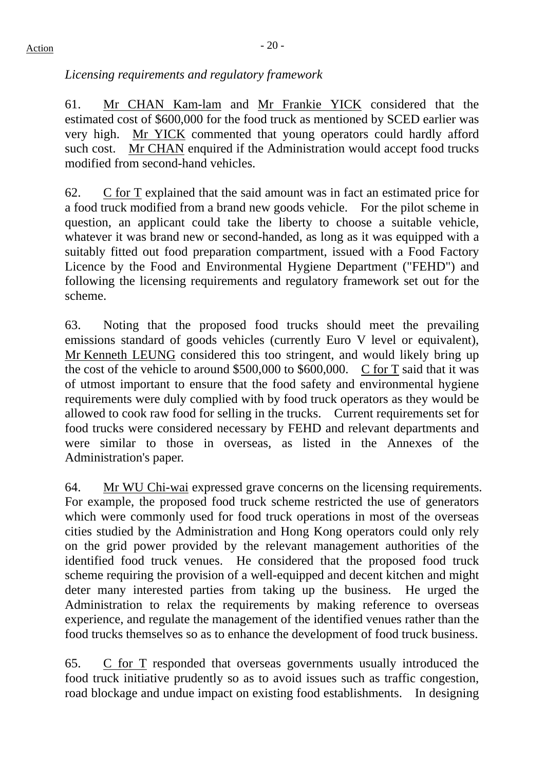*Licensing requirements and regulatory framework* 

61. Mr CHAN Kam-lam and Mr Frankie YICK considered that the estimated cost of \$600,000 for the food truck as mentioned by SCED earlier was very high. Mr YICK commented that young operators could hardly afford such cost. Mr CHAN enquired if the Administration would accept food trucks modified from second-hand vehicles.

62. C for T explained that the said amount was in fact an estimated price for a food truck modified from a brand new goods vehicle. For the pilot scheme in question, an applicant could take the liberty to choose a suitable vehicle, whatever it was brand new or second-handed, as long as it was equipped with a suitably fitted out food preparation compartment, issued with a Food Factory Licence by the Food and Environmental Hygiene Department ("FEHD") and following the licensing requirements and regulatory framework set out for the scheme.

63. Noting that the proposed food trucks should meet the prevailing emissions standard of goods vehicles (currently Euro V level or equivalent), Mr Kenneth LEUNG considered this too stringent, and would likely bring up the cost of the vehicle to around \$500,000 to \$600,000. C for T said that it was of utmost important to ensure that the food safety and environmental hygiene requirements were duly complied with by food truck operators as they would be allowed to cook raw food for selling in the trucks. Current requirements set for food trucks were considered necessary by FEHD and relevant departments and were similar to those in overseas, as listed in the Annexes of the Administration's paper.

64. Mr WU Chi-wai expressed grave concerns on the licensing requirements. For example, the proposed food truck scheme restricted the use of generators which were commonly used for food truck operations in most of the overseas cities studied by the Administration and Hong Kong operators could only rely on the grid power provided by the relevant management authorities of the identified food truck venues. He considered that the proposed food truck scheme requiring the provision of a well-equipped and decent kitchen and might deter many interested parties from taking up the business. He urged the Administration to relax the requirements by making reference to overseas experience, and regulate the management of the identified venues rather than the food trucks themselves so as to enhance the development of food truck business.

65. C for T responded that overseas governments usually introduced the food truck initiative prudently so as to avoid issues such as traffic congestion, road blockage and undue impact on existing food establishments. In designing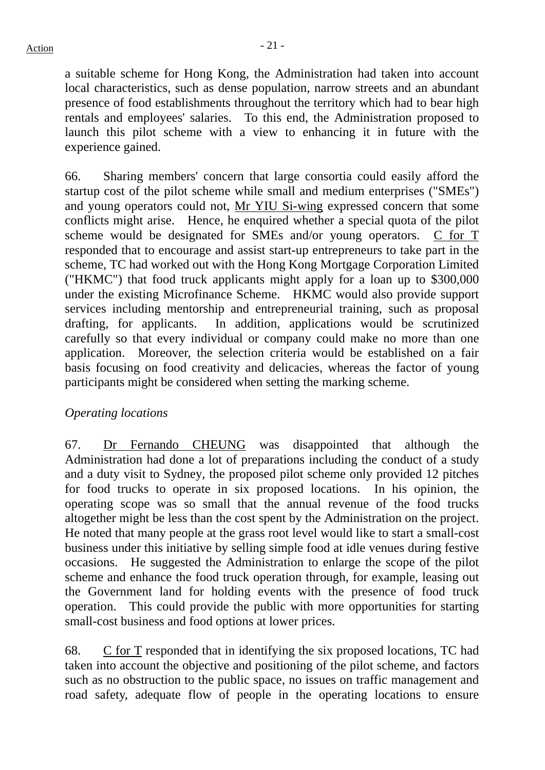a suitable scheme for Hong Kong, the Administration had taken into account local characteristics, such as dense population, narrow streets and an abundant presence of food establishments throughout the territory which had to bear high rentals and employees' salaries. To this end, the Administration proposed to launch this pilot scheme with a view to enhancing it in future with the experience gained.

66. Sharing members' concern that large consortia could easily afford the startup cost of the pilot scheme while small and medium enterprises ("SMEs") and young operators could not, Mr YIU Si-wing expressed concern that some conflicts might arise. Hence, he enquired whether a special quota of the pilot scheme would be designated for SMEs and/or young operators. C for T responded that to encourage and assist start-up entrepreneurs to take part in the scheme, TC had worked out with the Hong Kong Mortgage Corporation Limited ("HKMC") that food truck applicants might apply for a loan up to \$300,000 under the existing Microfinance Scheme. HKMC would also provide support services including mentorship and entrepreneurial training, such as proposal drafting, for applicants. In addition, applications would be scrutinized carefully so that every individual or company could make no more than one application. Moreover, the selection criteria would be established on a fair basis focusing on food creativity and delicacies, whereas the factor of young participants might be considered when setting the marking scheme.

## *Operating locations*

67. Dr Fernando CHEUNG was disappointed that although the Administration had done a lot of preparations including the conduct of a study and a duty visit to Sydney, the proposed pilot scheme only provided 12 pitches for food trucks to operate in six proposed locations. In his opinion, the operating scope was so small that the annual revenue of the food trucks altogether might be less than the cost spent by the Administration on the project. He noted that many people at the grass root level would like to start a small-cost business under this initiative by selling simple food at idle venues during festive occasions. He suggested the Administration to enlarge the scope of the pilot scheme and enhance the food truck operation through, for example, leasing out the Government land for holding events with the presence of food truck operation. This could provide the public with more opportunities for starting small-cost business and food options at lower prices.

68. C for T responded that in identifying the six proposed locations, TC had taken into account the objective and positioning of the pilot scheme, and factors such as no obstruction to the public space, no issues on traffic management and road safety, adequate flow of people in the operating locations to ensure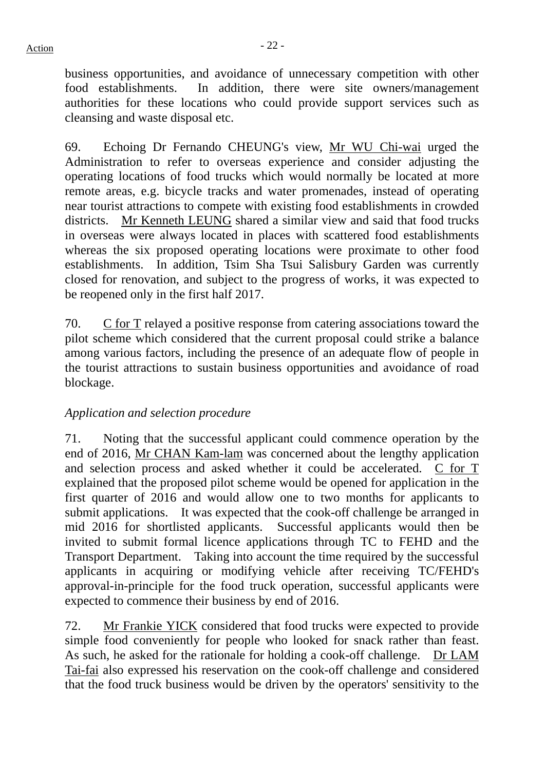business opportunities, and avoidance of unnecessary competition with other food establishments. In addition, there were site owners/management authorities for these locations who could provide support services such as cleansing and waste disposal etc.

69. Echoing Dr Fernando CHEUNG's view, Mr WU Chi-wai urged the Administration to refer to overseas experience and consider adjusting the operating locations of food trucks which would normally be located at more remote areas, e.g. bicycle tracks and water promenades, instead of operating near tourist attractions to compete with existing food establishments in crowded districts. Mr Kenneth LEUNG shared a similar view and said that food trucks in overseas were always located in places with scattered food establishments whereas the six proposed operating locations were proximate to other food establishments. In addition, Tsim Sha Tsui Salisbury Garden was currently closed for renovation, and subject to the progress of works, it was expected to be reopened only in the first half 2017.

70. C for T relayed a positive response from catering associations toward the pilot scheme which considered that the current proposal could strike a balance among various factors, including the presence of an adequate flow of people in the tourist attractions to sustain business opportunities and avoidance of road blockage.

# *Application and selection procedure*

71. Noting that the successful applicant could commence operation by the end of 2016, Mr CHAN Kam-lam was concerned about the lengthy application and selection process and asked whether it could be accelerated. C for T explained that the proposed pilot scheme would be opened for application in the first quarter of 2016 and would allow one to two months for applicants to submit applications. It was expected that the cook-off challenge be arranged in mid 2016 for shortlisted applicants. Successful applicants would then be invited to submit formal licence applications through TC to FEHD and the Transport Department. Taking into account the time required by the successful applicants in acquiring or modifying vehicle after receiving TC/FEHD's approval-in-principle for the food truck operation, successful applicants were expected to commence their business by end of 2016.

72. Mr Frankie YICK considered that food trucks were expected to provide simple food conveniently for people who looked for snack rather than feast. As such, he asked for the rationale for holding a cook-off challenge. Dr LAM Tai-fai also expressed his reservation on the cook-off challenge and considered that the food truck business would be driven by the operators' sensitivity to the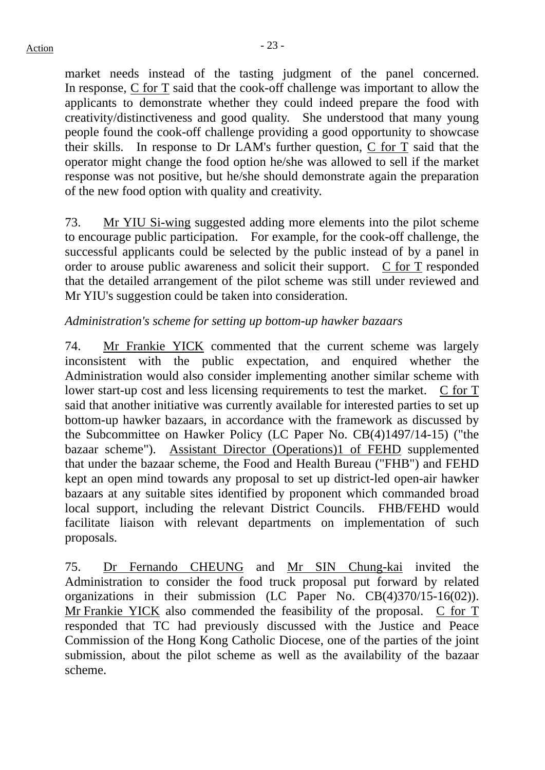market needs instead of the tasting judgment of the panel concerned. In response, C for T said that the cook-off challenge was important to allow the applicants to demonstrate whether they could indeed prepare the food with creativity/distinctiveness and good quality. She understood that many young people found the cook-off challenge providing a good opportunity to showcase their skills. In response to Dr LAM's further question, C for T said that the operator might change the food option he/she was allowed to sell if the market response was not positive, but he/she should demonstrate again the preparation of the new food option with quality and creativity.

73. Mr YIU Si-wing suggested adding more elements into the pilot scheme to encourage public participation. For example, for the cook-off challenge, the successful applicants could be selected by the public instead of by a panel in order to arouse public awareness and solicit their support. C for T responded that the detailed arrangement of the pilot scheme was still under reviewed and Mr YIU's suggestion could be taken into consideration.

# *Administration's scheme for setting up bottom-up hawker bazaars*

74. Mr Frankie YICK commented that the current scheme was largely inconsistent with the public expectation, and enquired whether the Administration would also consider implementing another similar scheme with lower start-up cost and less licensing requirements to test the market. C for T said that another initiative was currently available for interested parties to set up bottom-up hawker bazaars, in accordance with the framework as discussed by the Subcommittee on Hawker Policy (LC Paper No. CB(4)1497/14-15) ("the bazaar scheme"). Assistant Director (Operations)1 of FEHD supplemented that under the bazaar scheme, the Food and Health Bureau ("FHB") and FEHD kept an open mind towards any proposal to set up district-led open-air hawker bazaars at any suitable sites identified by proponent which commanded broad local support, including the relevant District Councils. FHB/FEHD would facilitate liaison with relevant departments on implementation of such proposals.

75. Dr Fernando CHEUNG and Mr SIN Chung-kai invited the Administration to consider the food truck proposal put forward by related organizations in their submission (LC Paper No. CB(4)370/15-16(02)). Mr Frankie YICK also commended the feasibility of the proposal. C for T responded that TC had previously discussed with the Justice and Peace Commission of the Hong Kong Catholic Diocese, one of the parties of the joint submission, about the pilot scheme as well as the availability of the bazaar scheme.